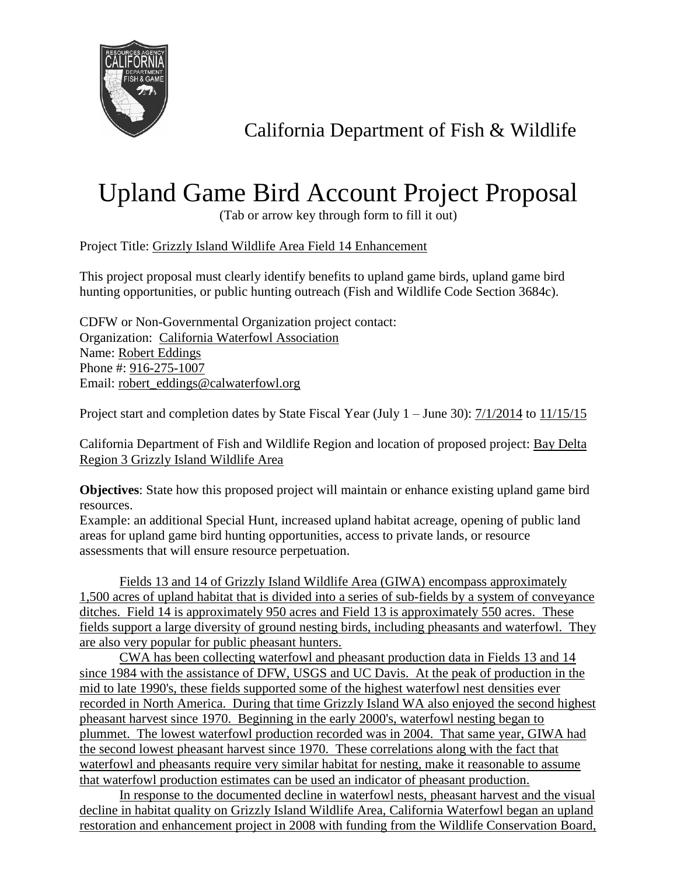

California Department of Fish & Wildlife

## Upland Game Bird Account Project Proposal

(Tab or arrow key through form to fill it out)

Project Title: Grizzly Island Wildlife Area Field 14 Enhancement

This project proposal must clearly identify benefits to upland game birds, upland game bird hunting opportunities, or public hunting outreach (Fish and Wildlife Code Section 3684c).

CDFW or Non-Governmental Organization project contact: Organization: California Waterfowl Association Name: Robert Eddings Phone #: 916-275-1007 Email: robert\_eddings@calwaterfowl.org

Project start and completion dates by State Fiscal Year (July 1 – June 30): 7/1/2014 to 11/15/15

California Department of Fish and Wildlife Region and location of proposed project: Bay Delta Region 3 Grizzly Island Wildlife Area

**Objectives**: State how this proposed project will maintain or enhance existing upland game bird resources.

Example: an additional Special Hunt, increased upland habitat acreage, opening of public land areas for upland game bird hunting opportunities, access to private lands, or resource assessments that will ensure resource perpetuation.

Fields 13 and 14 of Grizzly Island Wildlife Area (GIWA) encompass approximately 1,500 acres of upland habitat that is divided into a series of sub-fields by a system of conveyance ditches. Field 14 is approximately 950 acres and Field 13 is approximately 550 acres. These fields support a large diversity of ground nesting birds, including pheasants and waterfowl. They are also very popular for public pheasant hunters.

CWA has been collecting waterfowl and pheasant production data in Fields 13 and 14 since 1984 with the assistance of DFW, USGS and UC Davis. At the peak of production in the mid to late 1990's, these fields supported some of the highest waterfowl nest densities ever recorded in North America. During that time Grizzly Island WA also enjoyed the second highest pheasant harvest since 1970. Beginning in the early 2000's, waterfowl nesting began to plummet. The lowest waterfowl production recorded was in 2004. That same year, GIWA had the second lowest pheasant harvest since 1970. These correlations along with the fact that waterfowl and pheasants require very similar habitat for nesting, make it reasonable to assume that waterfowl production estimates can be used an indicator of pheasant production.

In response to the documented decline in waterfowl nests, pheasant harvest and the visual decline in habitat quality on Grizzly Island Wildlife Area, California Waterfowl began an upland restoration and enhancement project in 2008 with funding from the Wildlife Conservation Board,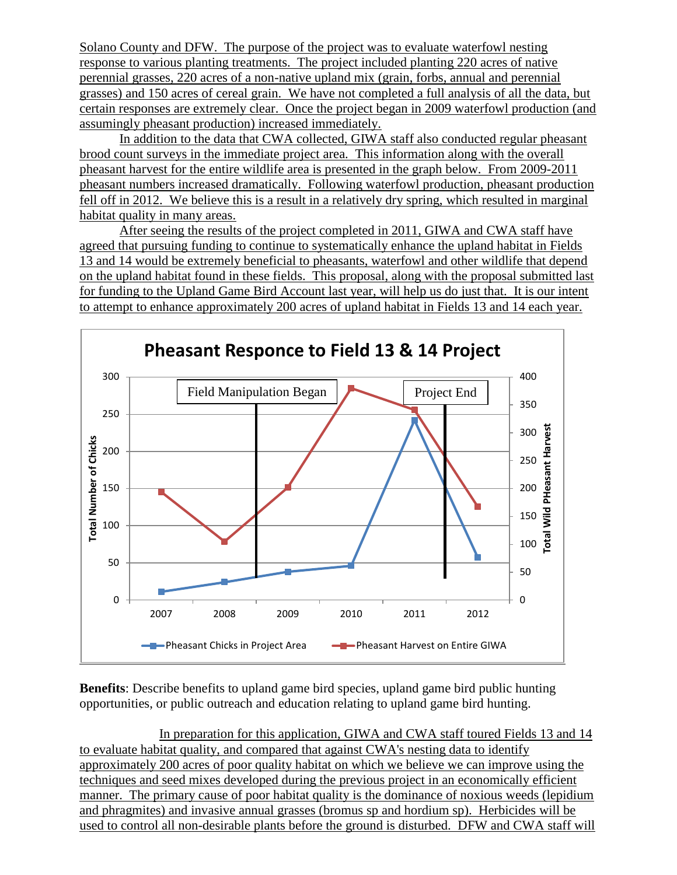Solano County and DFW. The purpose of the project was to evaluate waterfowl nesting response to various planting treatments. The project included planting 220 acres of native perennial grasses, 220 acres of a non-native upland mix (grain, forbs, annual and perennial grasses) and 150 acres of cereal grain. We have not completed a full analysis of all the data, but certain responses are extremely clear. Once the project began in 2009 waterfowl production (and assumingly pheasant production) increased immediately.

In addition to the data that CWA collected, GIWA staff also conducted regular pheasant brood count surveys in the immediate project area. This information along with the overall pheasant harvest for the entire wildlife area is presented in the graph below. From 2009-2011 pheasant numbers increased dramatically. Following waterfowl production, pheasant production fell off in 2012. We believe this is a result in a relatively dry spring, which resulted in marginal habitat quality in many areas.

After seeing the results of the project completed in 2011, GIWA and CWA staff have agreed that pursuing funding to continue to systematically enhance the upland habitat in Fields 13 and 14 would be extremely beneficial to pheasants, waterfowl and other wildlife that depend on the upland habitat found in these fields. This proposal, along with the proposal submitted last for funding to the Upland Game Bird Account last year, will help us do just that. It is our intent to attempt to enhance approximately 200 acres of upland habitat in Fields 13 and 14 each year.



**Benefits**: Describe benefits to upland game bird species, upland game bird public hunting opportunities, or public outreach and education relating to upland game bird hunting.

In preparation for this application, GIWA and CWA staff toured Fields 13 and 14 to evaluate habitat quality, and compared that against CWA's nesting data to identify approximately 200 acres of poor quality habitat on which we believe we can improve using the techniques and seed mixes developed during the previous project in an economically efficient manner. The primary cause of poor habitat quality is the dominance of noxious weeds (lepidium and phragmites) and invasive annual grasses (bromus sp and hordium sp). Herbicides will be used to control all non-desirable plants before the ground is disturbed. DFW and CWA staff will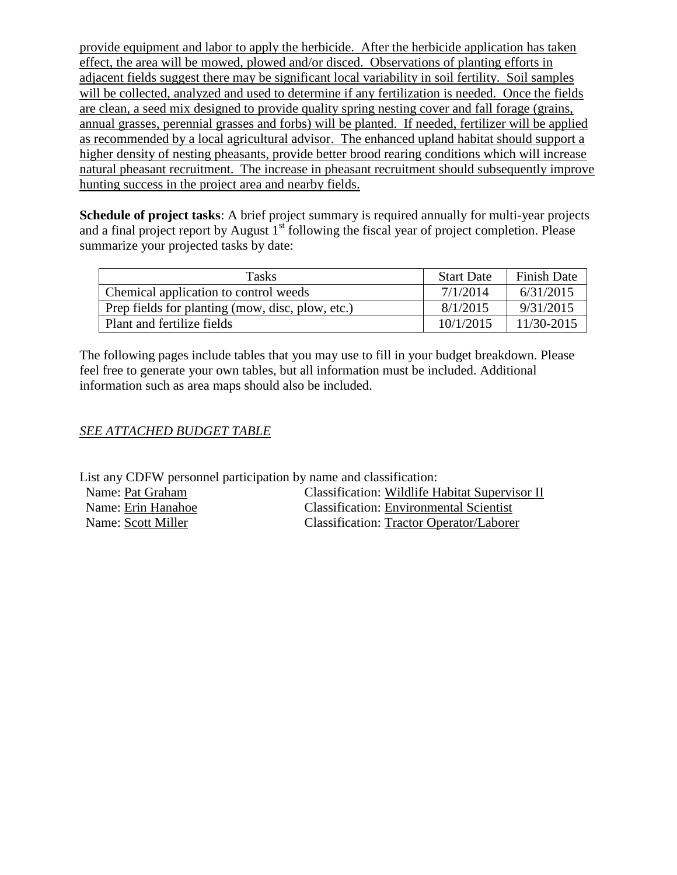provide equipment and labor to apply the herbicide. After the herbicide application has taken effect, the area will be mowed, plowed and/or disced. Observations of planting efforts in adjacent fields suggest there may be significant local variability in soil fertility. Soil samples will be collected, analyzed and used to determine if any fertilization is needed. Once the fields are clean, a seed mix designed to provide quality spring nesting cover and fall forage (grains, annual grasses, perennial grasses and forbs) will be planted. If needed, fertilizer will be applied as recommended by a local agricultural advisor. The enhanced upland habitat should support a higher density of nesting pheasants, provide better brood rearing conditions which will increase natural pheasant recruitment. The increase in pheasant recruitment should subsequently improve hunting success in the project area and nearby fields.

**Schedule of project tasks:** A brief project summary is required annually for multi-year projects and a final project report by August  $1<sup>st</sup>$  following the fiscal year of project completion. Please summarize your projected tasks by date:

| <b>Tasks</b>                                     | <b>Start Date</b> | <b>Finish Date</b> |
|--------------------------------------------------|-------------------|--------------------|
| Chemical application to control weeds            | 7/1/2014          | 6/31/2015          |
| Prep fields for planting (mow, disc, plow, etc.) | 8/1/2015          | 9/31/2015          |
| Plant and fertilize fields                       | 10/1/2015         | $11/30 - 2015$     |

The following pages include tables that you may use to fill in your budget breakdown. Please feel free to generate your own tables, but all information must be included. Additional information such as area maps should also be included.

## *SEE ATTACHED BUDGET TABLE*

List any CDFW personnel participation by name and classification:

Name: Pat Graham Classification: Wildlife Habitat Supervisor II Name: Erin Hanahoe Classification: Environmental Scientist Name: Scott Miller Classification: Tractor Operator/Laborer